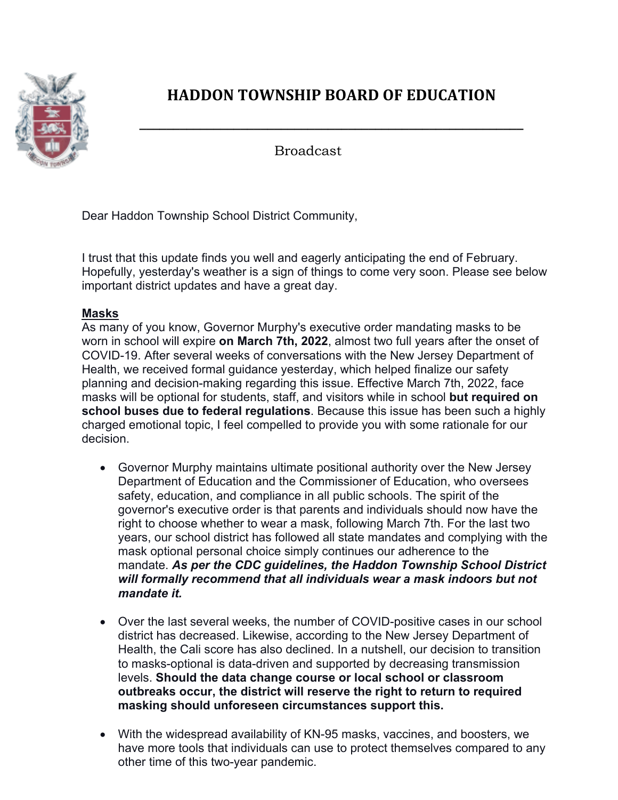

# **HADDON TOWNSHIP BOARD OF EDUCATION**

**\_\_\_\_\_\_\_\_\_\_\_\_\_\_\_\_\_\_\_\_\_\_\_\_\_\_\_\_\_\_\_\_\_\_\_\_\_\_\_\_\_\_\_\_\_\_\_\_\_\_\_\_\_\_\_\_\_**

Broadcast

Dear Haddon Township School District Community,

I trust that this update finds you well and eagerly anticipating the end of February. Hopefully, yesterday's weather is a sign of things to come very soon. Please see below important district updates and have a great day.

# **Masks**

As many of you know, Governor Murphy's executive order mandating masks to be worn in school will expire **on March 7th, 2022**, almost two full years after the onset of COVID-19. After several weeks of conversations with the New Jersey Department of Health, we received formal guidance yesterday, which helped finalize our safety planning and decision-making regarding this issue. Effective March 7th, 2022, face masks will be optional for students, staff, and visitors while in school **but required on school buses due to federal regulations**. Because this issue has been such a highly charged emotional topic, I feel compelled to provide you with some rationale for our decision.

- Governor Murphy maintains ultimate positional authority over the New Jersey Department of Education and the Commissioner of Education, who oversees safety, education, and compliance in all public schools. The spirit of the governor's executive order is that parents and individuals should now have the right to choose whether to wear a mask, following March 7th. For the last two years, our school district has followed all state mandates and complying with the mask optional personal choice simply continues our adherence to the mandate. *As per the CDC guidelines, the Haddon Township School District will formally recommend that all individuals wear a mask indoors but not mandate it.*
- Over the last several weeks, the number of COVID-positive cases in our school district has decreased. Likewise, according to the New Jersey Department of Health, the Cali score has also declined. In a nutshell, our decision to transition to masks-optional is data-driven and supported by decreasing transmission levels. **Should the data change course or local school or classroom outbreaks occur, the district will reserve the right to return to required masking should unforeseen circumstances support this.**
- With the widespread availability of KN-95 masks, vaccines, and boosters, we have more tools that individuals can use to protect themselves compared to any other time of this two-year pandemic.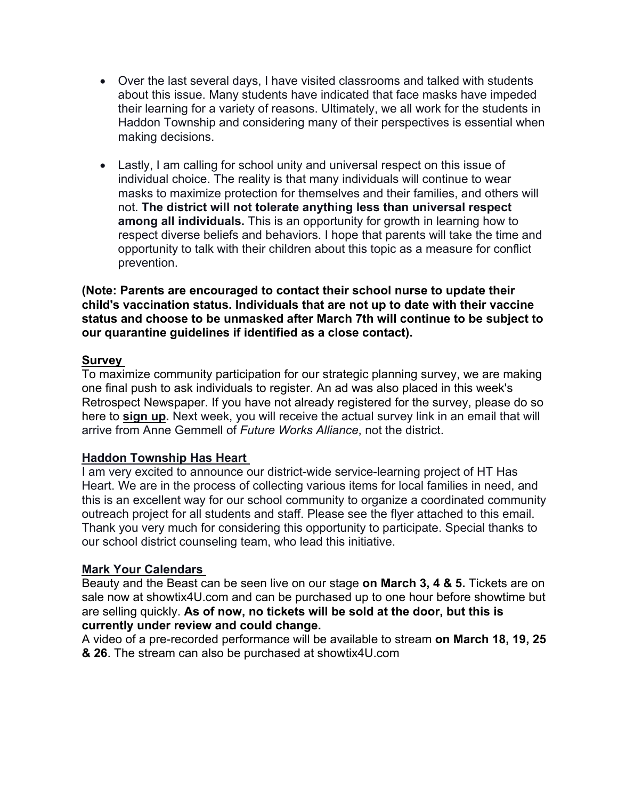- Over the last several days, I have visited classrooms and talked with students about this issue. Many students have indicated that face masks have impeded their learning for a variety of reasons. Ultimately, we all work for the students in Haddon Township and considering many of their perspectives is essential when making decisions.
- Lastly, I am calling for school unity and universal respect on this issue of individual choice. The reality is that many individuals will continue to wear masks to maximize protection for themselves and their families, and others will not. **The district will not tolerate anything less than universal respect among all individuals.** This is an opportunity for growth in learning how to respect diverse beliefs and behaviors. I hope that parents will take the time and opportunity to talk with their children about this topic as a measure for conflict prevention.

**(Note: Parents are encouraged to contact their school nurse to update their child's vaccination status. Individuals that are not up to date with their vaccine status and choose to be unmasked after March 7th will continue to be subject to our quarantine guidelines if identified as a close contact).**

## **Survey**

To maximize community participation for our strategic planning survey, we are making one final push to ask individuals to register. An ad was also placed in this week's Retrospect Newspaper. If you have not already registered for the survey, please do so here to **sign up.** Next week, you will receive the actual survey link in an email that will arrive from Anne Gemmell of *Future Works Alliance*, not the district.

#### **Haddon Township Has Heart**

I am very excited to announce our district-wide service-learning project of HT Has Heart. We are in the process of collecting various items for local families in need, and this is an excellent way for our school community to organize a coordinated community outreach project for all students and staff. Please see the flyer attached to this email. Thank you very much for considering this opportunity to participate. Special thanks to our school district counseling team, who lead this initiative.

## **Mark Your Calendars**

Beauty and the Beast can be seen live on our stage **on March 3, 4 & 5.** Tickets are on sale now at showtix4U.com and can be purchased up to one hour before showtime but are selling quickly. **As of now, no tickets will be sold at the door, but this is currently under review and could change.**

A video of a pre-recorded performance will be available to stream **on March 18, 19, 25 & 26**. The stream can also be purchased at showtix4U.com